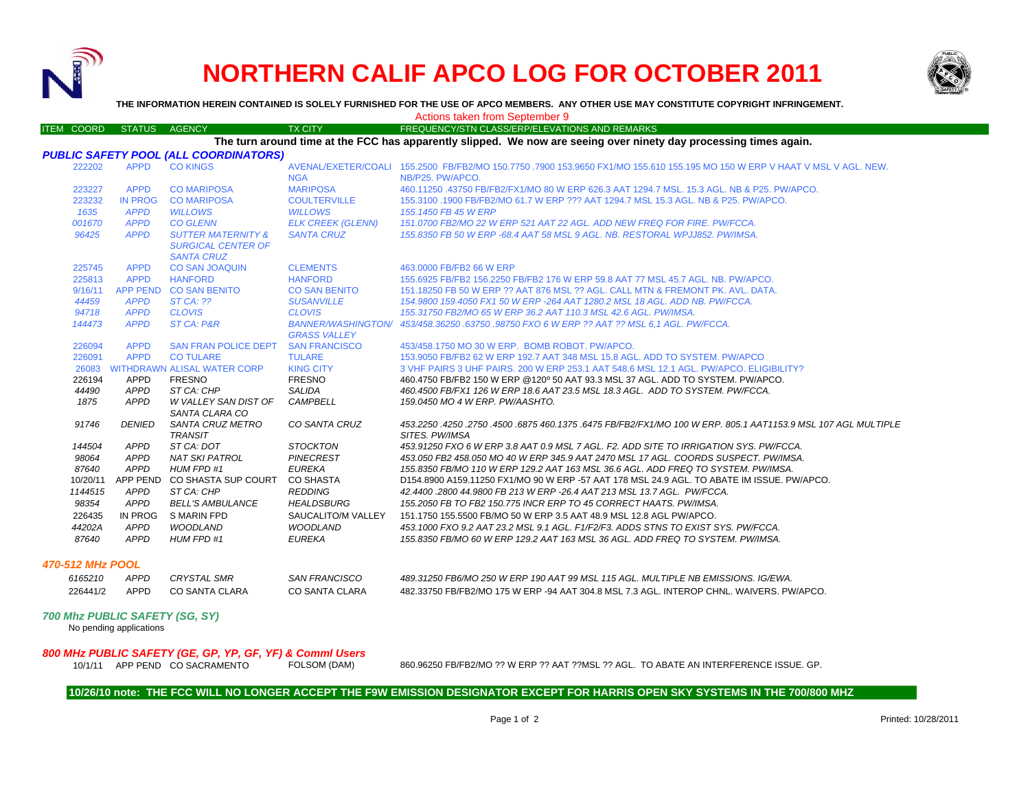

## **NORTHERN CALIF APCO LOG FOR OCTOBER 2011**



**THE INFORMATION HEREIN CONTAINED IS SOLELY FURNISHED FOR THE USE OF APCO MEMBERS. ANY OTHER USE MAY CONSTITUTE COPYRIGHT INFRINGEMENT.**

|                   |                                                           |                                                                                 |                                                  | Actions taken from September 9                                                                                                   |
|-------------------|-----------------------------------------------------------|---------------------------------------------------------------------------------|--------------------------------------------------|----------------------------------------------------------------------------------------------------------------------------------|
| <b>ITEM COORD</b> | <b>STATUS</b>                                             | <b>AGENCY</b>                                                                   | <b>TX CITY</b>                                   | FREQUENCY/STN CLASS/ERP/ELEVATIONS AND REMARKS                                                                                   |
|                   |                                                           |                                                                                 |                                                  | The turn around time at the FCC has apparently slipped. We now are seeing over ninety day processing times again.                |
|                   |                                                           | <b>PUBLIC SAFETY POOL (ALL COORDINATORS)</b>                                    |                                                  |                                                                                                                                  |
| 222202            | <b>APPD</b>                                               | <b>CO KINGS</b>                                                                 |                                                  | AVENAL/EXETER/COALI 155.2500 FB/FB2/MO 150.7750 .7900 153.9650 FX1/MO 155.610 155.195 MO 150 W ERP V HAAT V MSL V AGL. NEW.      |
|                   |                                                           |                                                                                 | <b>NGA</b>                                       | NB/P25. PW/APCO.                                                                                                                 |
| 223227            | <b>APPD</b>                                               | <b>CO MARIPOSA</b>                                                              | <b>MARIPOSA</b>                                  | 460.11250 .43750 FB/FB2/FX1/MO 80 W ERP 626.3 AAT 1294.7 MSL, 15.3 AGL, NB & P25, PW/APCO,                                       |
| 223232            | <b>IN PROG</b>                                            | <b>CO MARIPOSA</b>                                                              | <b>COULTERVILLE</b>                              | 155.3100 .1900 FB/FB2/MO 61.7 W ERP ??? AAT 1294.7 MSL 15.3 AGL. NB & P25. PW/APCO.                                              |
| 1635              | <b>APPD</b>                                               | <b>WILLOWS</b>                                                                  | <b>WILLOWS</b>                                   | 155.1450 FB 45 W ERP                                                                                                             |
| 001670            | <b>APPD</b>                                               | <b>CO GLENN</b>                                                                 | <b>ELK CREEK (GLENN)</b>                         | 151.0700 FB2/MO 22 W ERP 521 AAT 22 AGL, ADD NEW FREQ FOR FIRE, PW/FCCA.                                                         |
| 96425             | <b>APPD</b>                                               | <b>SUTTER MATERNITY &amp;</b><br><b>SURGICAL CENTER OF</b><br><b>SANTA CRUZ</b> | <b>SANTA CRUZ</b>                                | 155.8350 FB 50 W ERP -68.4 AAT 58 MSL 9 AGL, NB, RESTORAL WPJJ852, PW/IMSA.                                                      |
| 225745            | <b>APPD</b>                                               | <b>CO SAN JOAQUIN</b>                                                           | <b>CLEMENTS</b>                                  | 463,0000 FB/FB2 66 W ERP                                                                                                         |
| 225813            | <b>APPD</b>                                               | <b>HANFORD</b>                                                                  | <b>HANFORD</b>                                   | 155.6925 FB/FB2 156.2250 FB/FB2 176 W ERP 59.8 AAT 77 MSL 45.7 AGL, NB, PW/APCO,                                                 |
| 9/16/11           | <b>APP PEND</b>                                           | <b>CO SAN BENITO</b>                                                            | <b>CO SAN BENITO</b>                             | 151.18250 FB 50 W ERP ?? AAT 876 MSL ?? AGL, CALL MTN & FREMONT PK, AVL, DATA,                                                   |
| 44459             | <b>APPD</b>                                               | <b>ST CA: ??</b>                                                                | <b>SUSANVILLE</b>                                | 154,9800 159,4050 FX1 50 W ERP -264 AAT 1280.2 MSL 18 AGL, ADD NB, PW/FCCA,                                                      |
| 94718             | <b>APPD</b>                                               | <b>CLOVIS</b>                                                                   | <b>CLOVIS</b>                                    | 155.31750 FB2/MO 65 W ERP 36.2 AAT 110.3 MSL 42.6 AGL, PW/IMSA.                                                                  |
| 144473            | <b>APPD</b>                                               | ST CA: P&R                                                                      | <b>BANNER/WASHINGTON/</b><br><b>GRASS VALLEY</b> | 453/458.36250.63750.98750 FXO 6 W ERP ?? AAT ?? MSL 6,1 AGL. PW/FCCA.                                                            |
| 226094            | <b>APPD</b>                                               | <b>SAN FRAN POLICE DEPT</b>                                                     | <b>SAN FRANCISCO</b>                             | 453/458,1750 MO 30 W ERP. BOMB ROBOT, PW/APCO.                                                                                   |
| 226091            | <b>APPD</b>                                               | <b>CO TULARE</b>                                                                | <b>TULARE</b>                                    | 153,9050 FB/FB2 62 W ERP 192.7 AAT 348 MSL 15.8 AGL, ADD TO SYSTEM, PW/APCO                                                      |
| 26083             |                                                           | <b>WITHDRAWN ALISAL WATER CORP</b>                                              | <b>KING CITY</b>                                 | 3 VHF PAIRS 3 UHF PAIRS. 200 W ERP 253.1 AAT 548.6 MSL 12.1 AGL. PW/APCO. ELIGIBILITY?                                           |
| 226194            | <b>APPD</b>                                               | <b>FRESNO</b>                                                                   | <b>FRESNO</b>                                    | 460.4750 FB/FB2 150 W ERP @120° 50 AAT 93.3 MSL 37 AGL. ADD TO SYSTEM. PW/APCO.                                                  |
| 44490             | <b>APPD</b>                                               | ST CA: CHP                                                                      | <b>SALIDA</b>                                    | 460.4500 FB/FX1 126 W ERP 18.6 AAT 23.5 MSL 18.3 AGL. ADD TO SYSTEM. PW/FCCA.                                                    |
| 1875              | <b>APPD</b>                                               | W VALLEY SAN DIST OF<br>SANTA CLARA CO                                          | <b>CAMPBELL</b>                                  | 159.0450 MO 4 W ERP. PW/AASHTO.                                                                                                  |
| 91746             | <b>DENIED</b>                                             | SANTA CRUZ METRO<br><b>TRANSIT</b>                                              | CO SANTA CRUZ                                    | 453.2250 .4250 .2750 .4500 .6875 460 .1375 .6475 FB/FB2/FX1/MO 100 W ERP. 805.1 AAT1153.9 MSL 107 AGL MULTIPLE<br>SITES. PW/IMSA |
| 144504            | <b>APPD</b>                                               | ST CA: DOT                                                                      | <b>STOCKTON</b>                                  | 453.91250 FXO 6 W ERP 3.8 AAT 0.9 MSL 7 AGL. F2. ADD SITE TO IRRIGATION SYS. PW/FCCA.                                            |
| 98064             | <b>APPD</b>                                               | <b>NAT SKI PATROL</b>                                                           | <b>PINECREST</b>                                 | 453.050 FB2 458.050 MO 40 W ERP 345.9 AAT 2470 MSL 17 AGL. COORDS SUSPECT. PW/IMSA.                                              |
| 87640             | <b>APPD</b>                                               | HUM FPD #1                                                                      | <b>EUREKA</b>                                    | 155.8350 FB/MO 110 W ERP 129.2 AAT 163 MSL 36.6 AGL. ADD FREQ TO SYSTEM. PW/IMSA.                                                |
| 10/20/11          |                                                           | APP PEND CO SHASTA SUP COURT                                                    | <b>CO SHASTA</b>                                 | D154.8900 A159.11250 FX1/MO 90 W ERP -57 AAT 178 MSL 24.9 AGL. TO ABATE IM ISSUE. PW/APCO.                                       |
| 1144515           | <b>APPD</b>                                               | ST CA: CHP                                                                      | <b>REDDING</b>                                   | 42.4400 .2800 44.9800 FB 213 W ERP -26.4 AAT 213 MSL 13.7 AGL. PW/FCCA.                                                          |
| 98354             | <b>APPD</b>                                               | <b>BELL'S AMBULANCE</b>                                                         | <b>HEALDSBURG</b>                                | 155.2050 FB TO FB2 150.775 INCR ERP TO 45 CORRECT HAATS. PW/IMSA.                                                                |
| 226435            | IN PROG                                                   | <b>S MARIN FPD</b>                                                              | SAUCALITO/M VALLEY                               | 151.1750 155.5500 FB/MO 50 W ERP 3.5 AAT 48.9 MSL 12.8 AGL PW/APCO.                                                              |
| 44202A            | <b>APPD</b>                                               | <b>WOODLAND</b>                                                                 | <b>WOODLAND</b>                                  | 453.1000 FXO 9.2 AAT 23.2 MSL 9.1 AGL. F1/F2/F3. ADDS STNS TO EXIST SYS. PW/FCCA.                                                |
| 87640             | <b>APPD</b>                                               | HUM FPD #1                                                                      | <b>EUREKA</b>                                    | 155.8350 FB/MO 60 W ERP 129.2 AAT 163 MSL 36 AGL. ADD FREQ TO SYSTEM. PW/IMSA.                                                   |
| 470-512 MHz POOL  |                                                           |                                                                                 |                                                  |                                                                                                                                  |
| 6165210           | <b>APPD</b>                                               | <b>CRYSTAL SMR</b>                                                              | <b>SAN FRANCISCO</b>                             | 489.31250 FB6/MO 250 W ERP 190 AAT 99 MSL 115 AGL. MULTIPLE NB EMISSIONS. IG/EWA.                                                |
| 226441/2          | <b>APPD</b>                                               | <b>CO SANTA CLARA</b>                                                           | <b>CO SANTA CLARA</b>                            | 482.33750 FB/FB2/MO 175 W ERP -94 AAT 304.8 MSL 7.3 AGL. INTEROP CHNL. WAIVERS, PW/APCO.                                         |
|                   | 700 Mhz PUBLIC SAFETY (SG, SY)<br>No pending applications |                                                                                 |                                                  |                                                                                                                                  |
|                   |                                                           | 800 MHz PUBLIC SAFETY (GE, GP, YP, GF, YF) & Commi Users                        |                                                  |                                                                                                                                  |
|                   |                                                           | 10/1/11 APP PEND CO SACRAMENTO                                                  | FOLSOM (DAM)                                     | 860.96250 FB/FB2/MO ?? W ERP ?? AAT ??MSL ?? AGL. TO ABATE AN INTERFERENCE ISSUE. GP.                                            |

## **10/26/10 note: THE FCC WILL NO LONGER ACCEPT THE F9W EMISSION DESIGNATOR EXCEPT FOR HARRIS OPEN SKY SYSTEMS IN THE 700/800 MHZ**